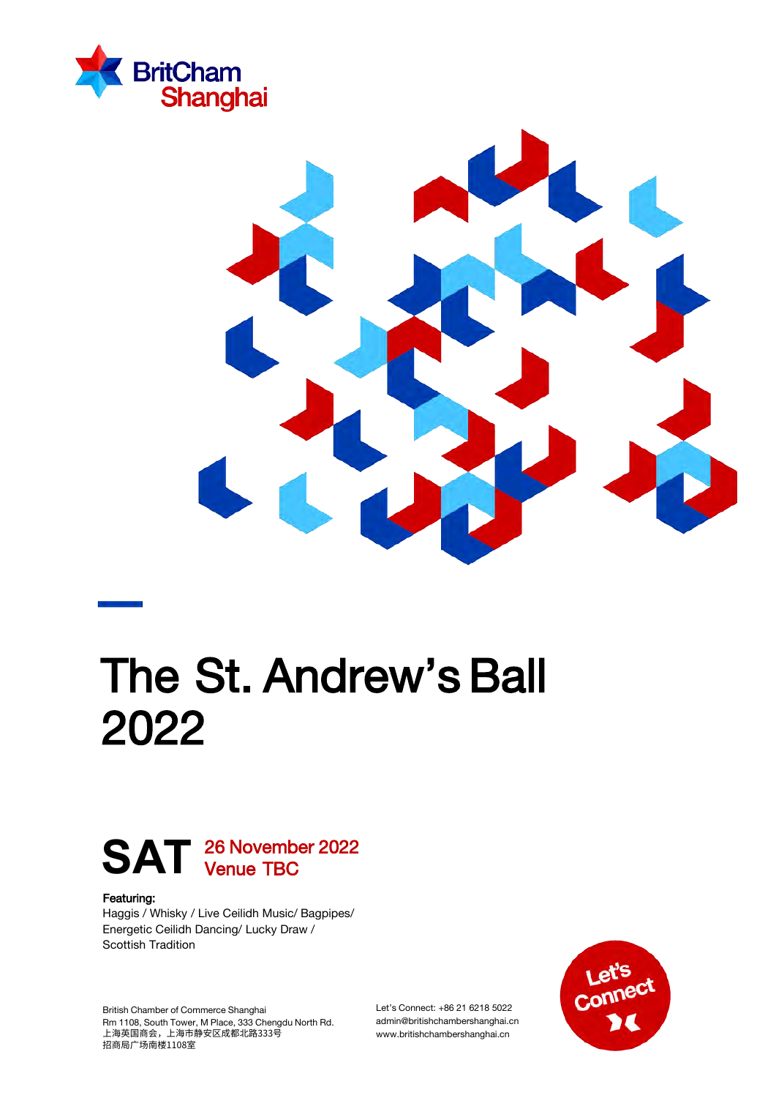



# The St. Andrew's Ball 2022

### 26 November 2022 SAT <sup>26 Novemb</sup>

#### Featuring:

Haggis / Whisky / Live Ceilidh Music/ Bagpipes/ Energetic Ceilidh Dancing/ Lucky Draw / Scottish Tradition

British Chamber of Commerce Shanghai Rm 1108, South Tower, M Place, 333 Chengdu North Rd. 上海英国商会,上海市静安区成都北路333号 招商局广场南楼1108室

Let's Connect: +86 21 6218 5022 admin@britishchambershanghai.cn www.britishchambershanghai.cn

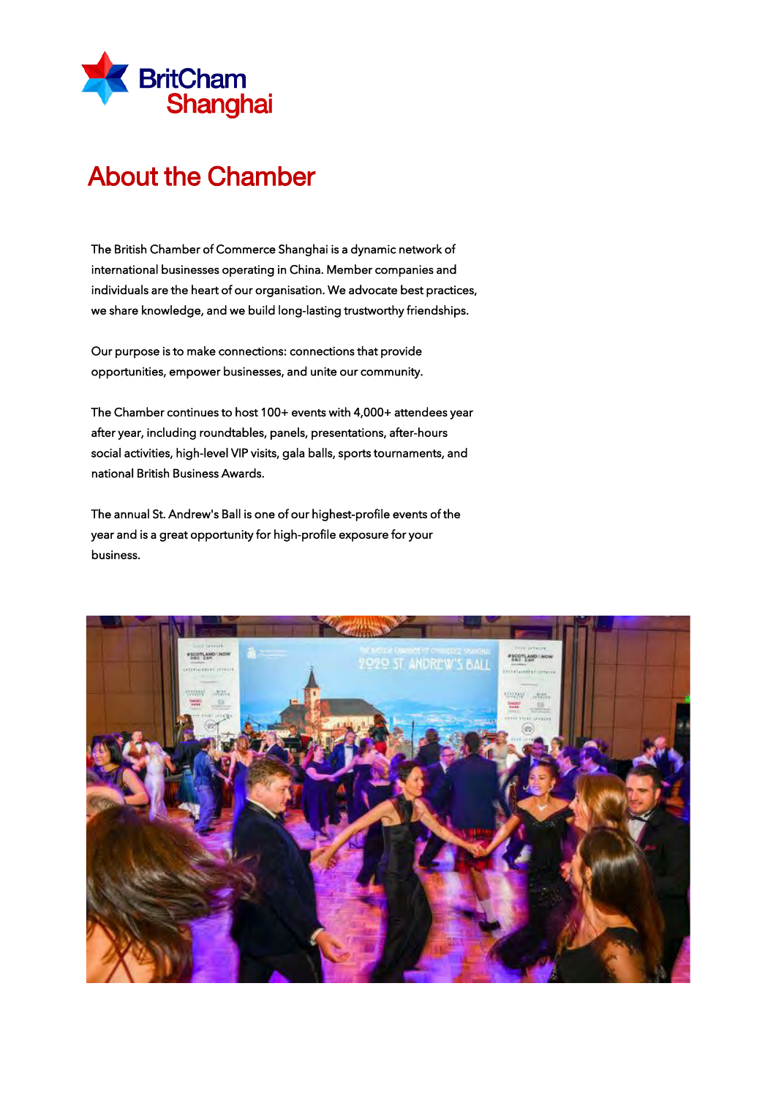

### About the Chamber

The British Chamber of Commerce Shanghai is a dynamic network of international businesses operating in China. Member companies and individuals are the heart of our organisation. We advocate best practices, we share knowledge, and we build long-lasting trustworthy friendships.

Our purpose is to make connections: connections that provide opportunities, empower businesses, and unite our community.

The Chamber continues to host 100+ events with 4,000+ attendees year after year, including roundtables, panels, presentations, after-hours social activities, high-level VIP visits, gala balls, sports tournaments, and national British Business Awards.

The annual St. Andrew's Ball is one of our highest-profile events of the year and is a great opportunity for high-profile exposure for your business.

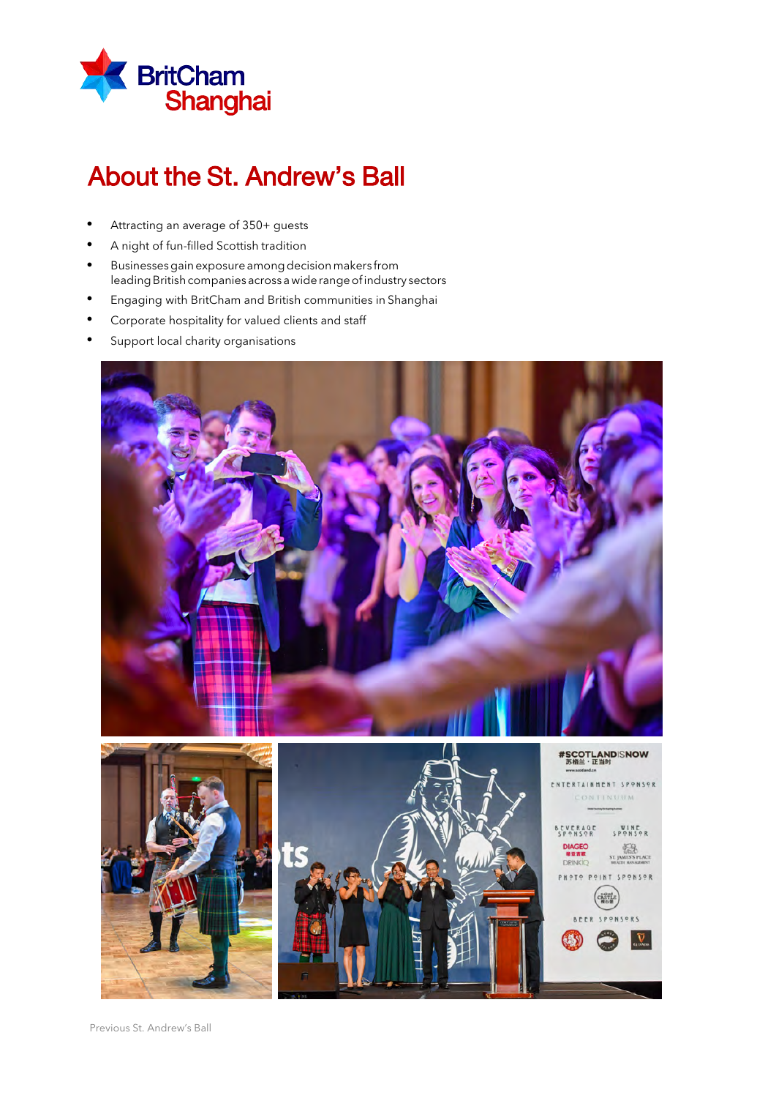

## About the St. Andrew's Ball

- Attracting an average of 350+ guests
- A night of fun-filled Scottish tradition
- Businesses gain exposure among decision makers from leading British companies across a wide range of industry sectors
- Engaging with BritCham and British communities in Shanghai
- Corporate hospitality for valued clients and staff
- Support local charity organisations

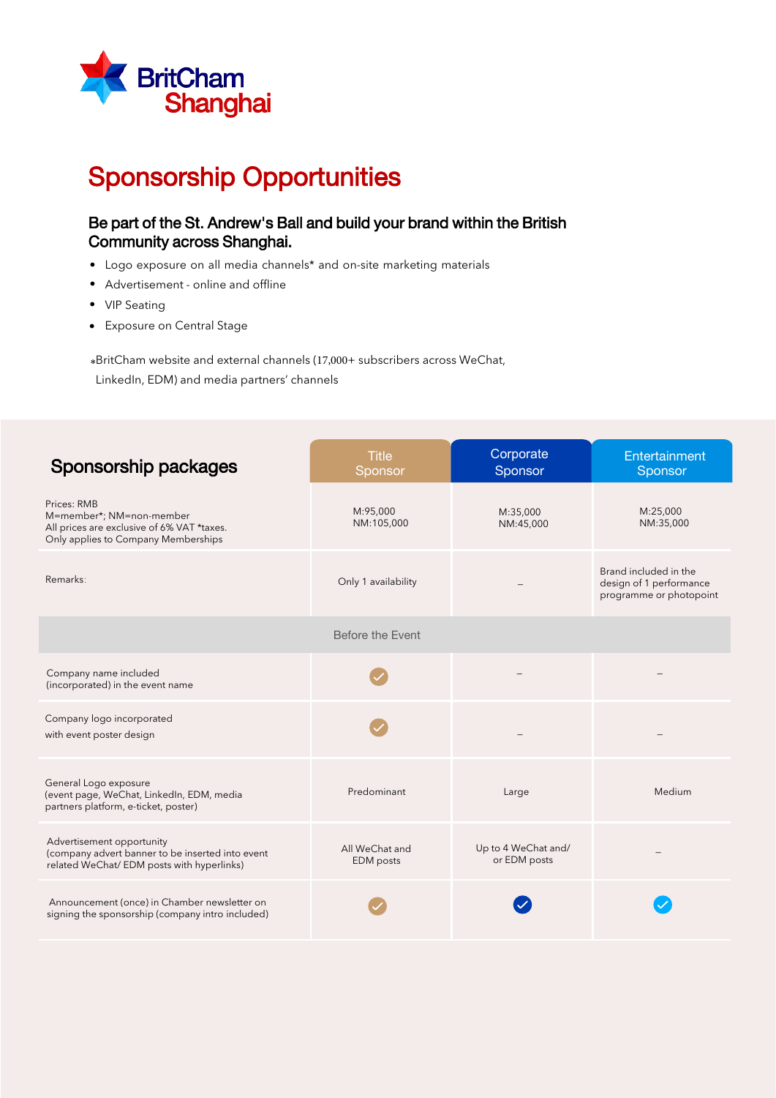

# Sponsorship Opportunities

### Be part of the St. Andrew's Ball and build your brand within the British Community across Shanghai.

- Logo exposure on all media channels\* and on-site marketing materials
- Advertisement online and offline •
- VIP Seating
- Exposure on Central Stage

\*BritCham website and external channels (17,000+ subscribers across WeChat, LinkedIn, EDM) and media partners' channels

| Sponsorship packages                                                                                                         | <b>Title</b><br>Sponsor            | Corporate<br>Sponsor                | Entertainment<br>Sponsor                                                    |
|------------------------------------------------------------------------------------------------------------------------------|------------------------------------|-------------------------------------|-----------------------------------------------------------------------------|
| Prices: RMB<br>M=member*; NM=non-member<br>All prices are exclusive of 6% VAT *taxes.<br>Only applies to Company Memberships | M:95,000<br>NM:105,000             | M:35,000<br>NM:45,000               | M:25,000<br>NM:35,000                                                       |
| Remarks:                                                                                                                     | Only 1 availability                |                                     | Brand included in the<br>design of 1 performance<br>programme or photopoint |
|                                                                                                                              | Before the Event                   |                                     |                                                                             |
| Company name included<br>(incorporated) in the event name                                                                    |                                    |                                     |                                                                             |
| Company logo incorporated<br>with event poster design                                                                        |                                    |                                     |                                                                             |
| General Logo exposure<br>(event page, WeChat, LinkedIn, EDM, media<br>partners platform, e-ticket, poster)                   | Predominant                        | Large                               | Medium                                                                      |
| Advertisement opportunity<br>(company advert banner to be inserted into event<br>related WeChat/ EDM posts with hyperlinks)  | All WeChat and<br><b>EDM</b> posts | Up to 4 WeChat and/<br>or EDM posts |                                                                             |
| Announcement (once) in Chamber newsletter on<br>signing the sponsorship (company intro included)                             |                                    |                                     |                                                                             |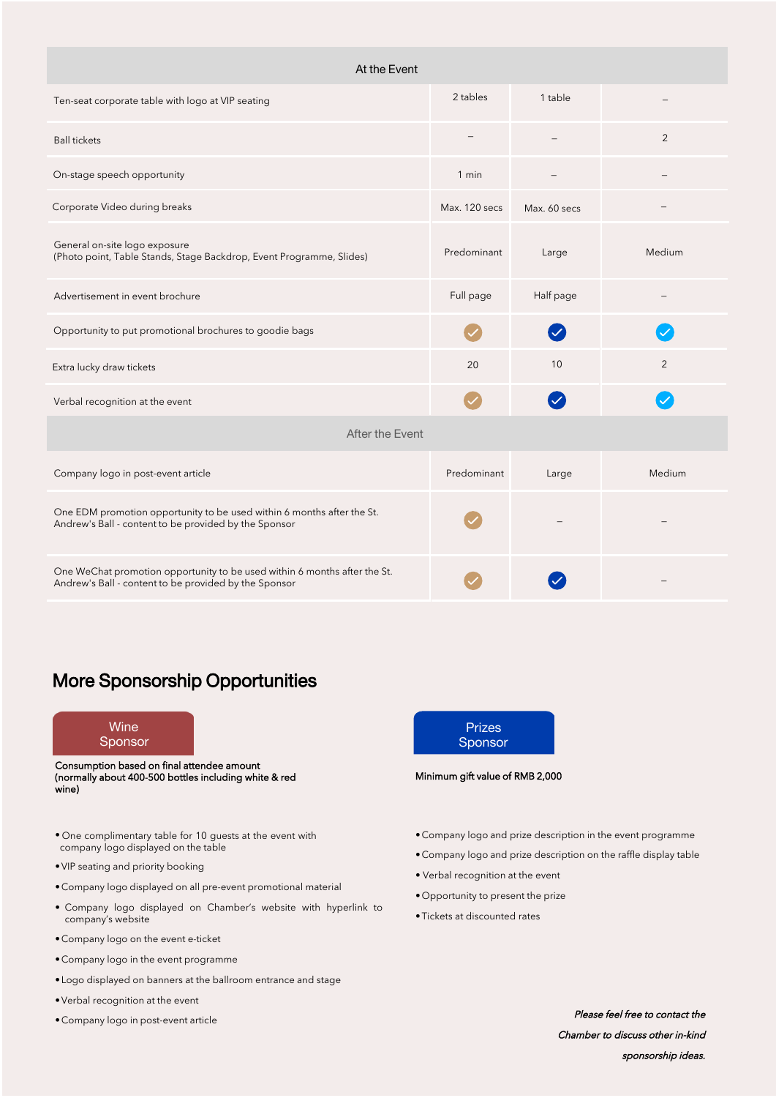| At the Event                                                                                                                       |               |                         |        |  |  |
|------------------------------------------------------------------------------------------------------------------------------------|---------------|-------------------------|--------|--|--|
| Ten-seat corporate table with logo at VIP seating                                                                                  | 2 tables      | 1 table                 |        |  |  |
| <b>Ball tickets</b>                                                                                                                |               |                         | 2      |  |  |
| On-stage speech opportunity                                                                                                        | 1 min         |                         |        |  |  |
| Corporate Video during breaks                                                                                                      | Max. 120 secs | Max. 60 secs            |        |  |  |
| General on-site logo exposure<br>(Photo point, Table Stands, Stage Backdrop, Event Programme, Slides)                              | Predominant   | Large                   | Medium |  |  |
| Advertisement in event brochure                                                                                                    | Full page     | Half page               |        |  |  |
| Opportunity to put promotional brochures to goodie bags                                                                            |               | $\overline{\mathsf{v}}$ |        |  |  |
| Extra lucky draw tickets                                                                                                           | 20            | 10                      | 2      |  |  |
| Verbal recognition at the event                                                                                                    |               |                         |        |  |  |
| After the Event                                                                                                                    |               |                         |        |  |  |
| Company logo in post-event article                                                                                                 | Predominant   | Large                   | Medium |  |  |
| One EDM promotion opportunity to be used within 6 months after the St.<br>Andrew's Ball - content to be provided by the Sponsor    |               |                         |        |  |  |
| One WeChat promotion opportunity to be used within 6 months after the St.<br>Andrew's Ball - content to be provided by the Sponsor |               |                         |        |  |  |

### More Sponsorship Opportunities



Consumption based on final attendee amount (normally about 400-500 bottles including white & red wine)

- One complimentary table for 10 guests at the event with company logo displayed on the table
- •VIP seating and priority booking
- •Company logo displayed on all pre-event promotional material
- Company logo displayed on Chamber's website with hyperlink to company's website
- •Company logo on the event e-ticket
- •Company logo in the event programme
- Logo displayed on banners at the ballroom entrance and stage
- •Verbal recognition at the event
- •Company logo in post-event article

| <b>Prizes</b> |  |
|---------------|--|
| Sponsor       |  |
|               |  |

#### Minimum gift value of RMB 2,000

- •Company logo and prize description in the event programme
- •Company logo and prize description on the raffle display table
- Verbal recognition at the event
- •Opportunity to present the prize
- •Tickets at discounted rates

Please feel free to contact the Chamber to discuss other in-kind sponsorship ideas.